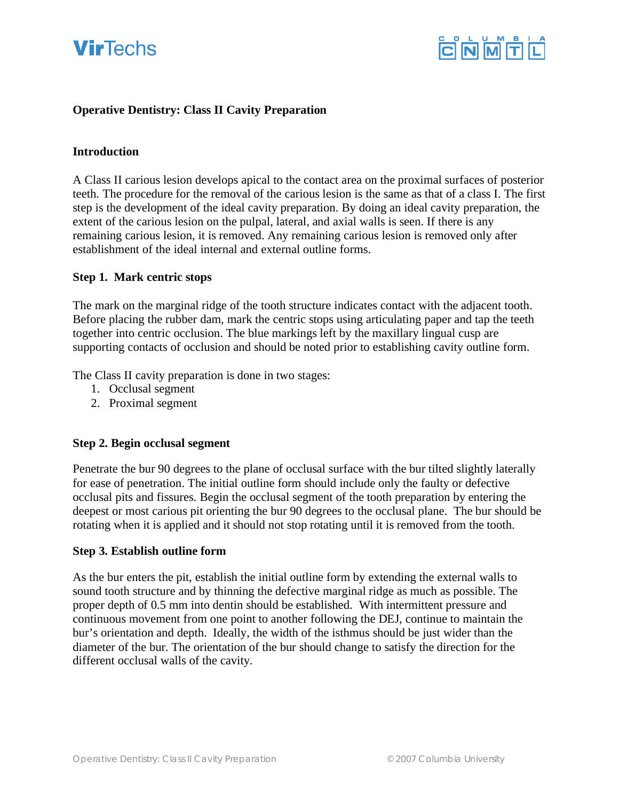



## **Operative Dentistry: Class II Cavity Preparation**

#### **Introduction**

A Class II carious lesion develops apical to the contact area on the proximal surfaces of posterior teeth. The procedure for the removal of the carious lesion is the same as that of a class I. The first step is the development of the ideal cavity preparation. By doing an ideal cavity preparation, the extent of the carious lesion on the pulpal, lateral, and axial walls is seen. If there is any remaining carious lesion, it is removed. Any remaining carious lesion is removed only after establishment of the ideal internal and external outline forms.

#### **Step 1. Mark centric stops**

The mark on the marginal ridge of the tooth structure indicates contact with the adjacent tooth. Before placing the rubber dam, mark the centric stops using articulating paper and tap the teeth together into centric occlusion. The blue markings left by the maxillary lingual cusp are supporting contacts of occlusion and should be noted prior to establishing cavity outline form.

The Class II cavity preparation is done in two stages:

- 1. Occlusal segment
- 2. Proximal segment

#### **Step 2. Begin occlusal segment**

Penetrate the bur 90 degrees to the plane of occlusal surface with the bur tilted slightly laterally for ease of penetration. The initial outline form should include only the faulty or defective occlusal pits and fissures. Begin the occlusal segment of the tooth preparation by entering the deepest or most carious pit orienting the bur 90 degrees to the occlusal plane. The bur should be rotating when it is applied and it should not stop rotating until it is removed from the tooth.

#### **Step 3. Establish outline form**

As the bur enters the pit, establish the initial outline form by extending the external walls to sound tooth structure and by thinning the defective marginal ridge as much as possible. The proper depth of 0.5 mm into dentin should be established. With intermittent pressure and continuous movement from one point to another following the DEJ, continue to maintain the bur's orientation and depth. Ideally, the width of the isthmus should be just wider than the diameter of the bur. The orientation of the bur should change to satisfy the direction for the different occlusal walls of the cavity.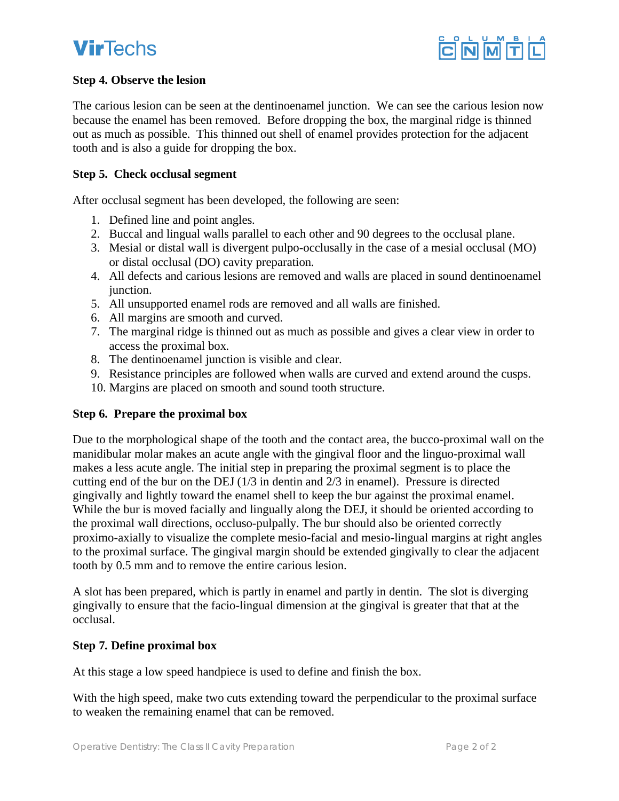# **VirTechs**



# **Step 4. Observe the lesion**

The carious lesion can be seen at the dentinoenamel junction. We can see the carious lesion now because the enamel has been removed. Before dropping the box, the marginal ridge is thinned out as much as possible. This thinned out shell of enamel provides protection for the adjacent tooth and is also a guide for dropping the box.

## **Step 5. Check occlusal segment**

After occlusal segment has been developed, the following are seen:

- 1. Defined line and point angles.
- 2. Buccal and lingual walls parallel to each other and 90 degrees to the occlusal plane.
- 3. Mesial or distal wall is divergent pulpo-occlusally in the case of a mesial occlusal (MO) or distal occlusal (DO) cavity preparation.
- 4. All defects and carious lesions are removed and walls are placed in sound dentinoenamel junction.
- 5. All unsupported enamel rods are removed and all walls are finished.
- 6. All margins are smooth and curved.
- 7. The marginal ridge is thinned out as much as possible and gives a clear view in order to access the proximal box.
- 8. The dentinoenamel junction is visible and clear.
- 9. Resistance principles are followed when walls are curved and extend around the cusps.
- 10. Margins are placed on smooth and sound tooth structure.

### **Step 6. Prepare the proximal box**

Due to the morphological shape of the tooth and the contact area, the bucco-proximal wall on the manidibular molar makes an acute angle with the gingival floor and the linguo-proximal wall makes a less acute angle. The initial step in preparing the proximal segment is to place the cutting end of the bur on the DEJ (1/3 in dentin and 2/3 in enamel). Pressure is directed gingivally and lightly toward the enamel shell to keep the bur against the proximal enamel. While the bur is moved facially and lingually along the DEJ, it should be oriented according to the proximal wall directions, occluso-pulpally. The bur should also be oriented correctly proximo-axially to visualize the complete mesio-facial and mesio-lingual margins at right angles to the proximal surface. The gingival margin should be extended gingivally to clear the adjacent tooth by 0.5 mm and to remove the entire carious lesion.

A slot has been prepared, which is partly in enamel and partly in dentin. The slot is diverging gingivally to ensure that the facio-lingual dimension at the gingival is greater that that at the occlusal.

# **Step 7. Define proximal box**

At this stage a low speed handpiece is used to define and finish the box.

With the high speed, make two cuts extending toward the perpendicular to the proximal surface to weaken the remaining enamel that can be removed.